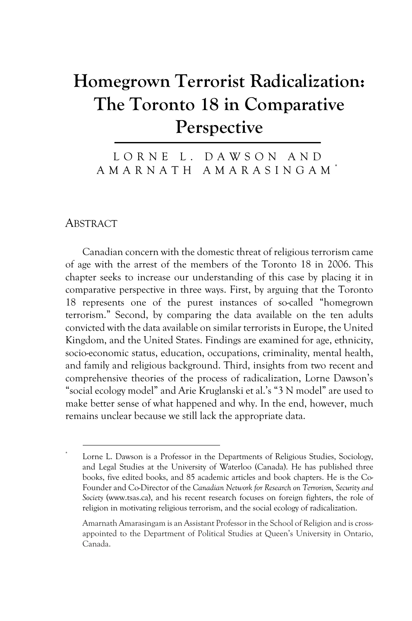# **Homegrown Terrorist Radicalization: The Toronto 18 in Comparative Perspective**

LORNE L. DAWSON AND AMARNATH AMARASINGAM \*

ABSTRACT

Canadian concern with the domestic threat of religious terrorism came of age with the arrest of the members of the Toronto 18 in 2006. This chapter seeks to increase our understanding of this case by placing it in comparative perspective in three ways. First, by arguing that the Toronto 18 represents one of the purest instances of so-called "homegrown terrorism." Second, by comparing the data available on the ten adults convicted with the data available on similar terrorists in Europe, the United Kingdom, and the United States. Findings are examined for age, ethnicity, socio-economic status, education, occupations, criminality, mental health, and family and religious background. Third, insights from two recent and comprehensive theories of the process of radicalization, Lorne Dawson's "social ecology model" and Arie Kruglanski et al.'s "3 N model" are used to make better sense of what happened and why. In the end, however, much remains unclear because we still lack the appropriate data.

Lorne L. Dawson is a Professor in the Departments of Religious Studies, Sociology, and Legal Studies at the University of Waterloo (Canada). He has published three books, five edited books, and 85 academic articles and book chapters. He is the Co-Founder and Co-Director of the *Canadian Network for Research on Terrorism, Security and Society* (www.tsas.ca), and his recent research focuses on foreign fighters, the role of religion in motivating religious terrorism, and the social ecology of radicalization.

Amarnath Amarasingam is an Assistant Professor in the School of Religion and is crossappointed to the Department of Political Studies at Queen's University in Ontario, Canada.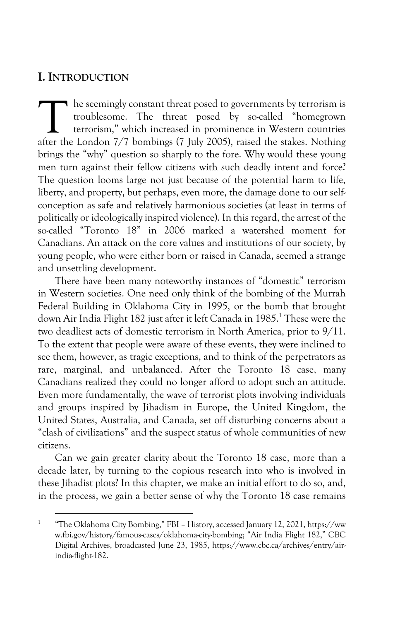## **I. INTRODUCTION**

 $\blacksquare$  he seemingly constant threat posed to governments by terrorism is troublesome. The threat posed by so-called "homegrown terrorism," which increased in prominence in Western countries The seemingly constant threat posed to governments by terrorism is troublesome. The threat posed by so-called "homegrown terrorism," which increased in prominence in Western countries after the London 7/7 bombings (7 July brings the "why" question so sharply to the fore. Why would these young men turn against their fellow citizens with such deadly intent and force? The question looms large not just because of the potential harm to life, liberty, and property, but perhaps, even more, the damage done to our selfconception as safe and relatively harmonious societies (at least in terms of politically or ideologically inspired violence). In this regard, the arrest of the so-called "Toronto 18" in 2006 marked a watershed moment for Canadians. An attack on the core values and institutions of our society, by young people, who were either born or raised in Canada, seemed a strange and unsettling development.

There have been many noteworthy instances of "domestic" terrorism in Western societies. One need only think of the bombing of the Murrah Federal Building in Oklahoma City in 1995, or the bomb that brought down Air India Flight 182 just after it left Canada in 1985.<sup>1</sup> These were the two deadliest acts of domestic terrorism in North America, prior to 9/11. To the extent that people were aware of these events, they were inclined to see them, however, as tragic exceptions, and to think of the perpetrators as rare, marginal, and unbalanced. After the Toronto 18 case, many Canadians realized they could no longer afford to adopt such an attitude. Even more fundamentally, the wave of terrorist plots involving individuals and groups inspired by Jihadism in Europe, the United Kingdom, the United States, Australia, and Canada, set off disturbing concerns about a "clash of civilizations" and the suspect status of whole communities of new citizens.

Can we gain greater clarity about the Toronto 18 case, more than a decade later, by turning to the copious research into who is involved in these Jihadist plots? In this chapter, we make an initial effort to do so, and, in the process, we gain a better sense of why the Toronto 18 case remains

<sup>&</sup>lt;sup>1</sup> "The Oklahoma City Bombing," FBI – History, accessed January 12, 2021, https://ww w.fbi.gov/history/famous-cases/oklahoma-city-bombing; "Air India Flight 182," CBC Digital Archives, broadcasted June 23, 1985, https://www.cbc.ca/archives/entry/airindia-flight-182.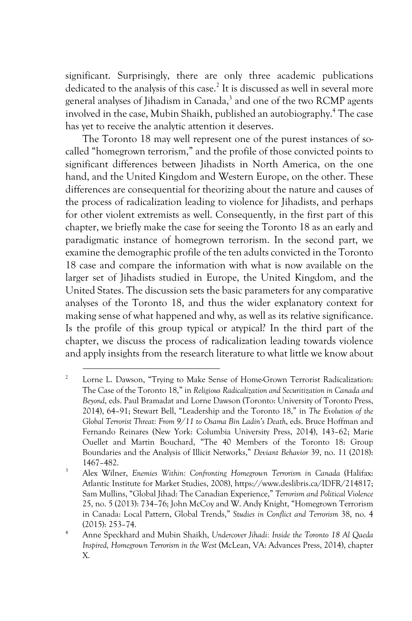significant. Surprisingly, there are only three academic publications dedicated to the analysis of this case.<sup>2</sup> It is discussed as well in several more general analyses of Jihadism in Canada,<sup>3</sup> and one of the two RCMP agents involved in the case, Mubin Shaikh, published an autobiography.4 The case has yet to receive the analytic attention it deserves.

The Toronto 18 may well represent one of the purest instances of socalled "homegrown terrorism," and the profile of those convicted points to significant differences between Jihadists in North America, on the one hand, and the United Kingdom and Western Europe, on the other. These differences are consequential for theorizing about the nature and causes of the process of radicalization leading to violence for Jihadists, and perhaps for other violent extremists as well. Consequently, in the first part of this chapter, we briefly make the case for seeing the Toronto 18 as an early and paradigmatic instance of homegrown terrorism. In the second part, we examine the demographic profile of the ten adults convicted in the Toronto 18 case and compare the information with what is now available on the larger set of Jihadists studied in Europe, the United Kingdom, and the United States. The discussion sets the basic parameters for anycomparative analyses of the Toronto 18, and thus the wider explanatory context for making sense of what happened and why, as well as its relative significance. Is the profile of this group typical or atypical? In the third part of the chapter, we discuss the process of radicalization leading towards violence and apply insights from the research literature to what little we know about

<sup>&</sup>lt;sup>2</sup> Lorne L. Dawson, "Trying to Make Sense of Home-Grown Terrorist Radicalization: The Case of the Toronto 18," in *Religious Radicalization and Securitization in Canada and Beyond*, eds. Paul Bramadat and Lorne Dawson (Toronto: University of Toronto Press, 2014), 64–91; Stewart Bell, "Leadership and the Toronto 18," in *The Evolution of the Global Terrorist Threat: From 9/11 to Osama Bin Ladin's Death*, eds. Bruce Hoffman and Fernando Reinares (New York: Columbia University Press, 2014), 143–62; Marie Ouellet and Martin Bouchard, "The 40 Members of the Toronto 18: Group Boundaries and the Analysis of Illicit Networks," *Deviant Behavior* 39, no. 11 (2018): 1467–482. 3 Alex Wilner, *Enemies Within: Confronting Homegrown Terrorism in Canada* (Halifax:

Atlantic Institute for Market Studies, 2008), https://www.deslibris.ca/IDFR/214817; Sam Mullins, "Global Jihad: The Canadian Experience," *Terrorism and Political Violence* 25, no. 5 (2013): 734–76; John McCoy and W. Andy Knight, "Homegrown Terrorism in Canada: Local Pattern, Global Trends," *Studies in Conflict and Terrorism* 38, no. 4 (2015): 253–74.

<sup>4</sup> Anne Speckhard and Mubin Shaikh, *Undercover Jihadi: Inside the Toronto 18 Al Qaeda Inspired, Homegrown Terrorism in the West* (McLean, VA: Advances Press, 2014), chapter X.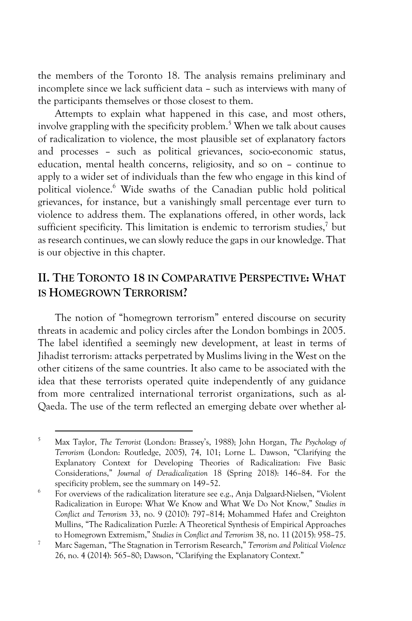the members of the Toronto 18. The analysis remains preliminary and incomplete since we lack sufficient data – such as interviews with many of the participants themselves or those closest to them.

Attempts to explain what happened in this case, and most others, involve grappling with the specificity problem.<sup>5</sup> When we talk about causes of radicalization to violence, the most plausible set of explanatory factors and processes – such as political grievances, socio-economic status, education, mental health concerns, religiosity, and so on – continue to apply to a wider set of individuals than the few who engage in this kind of political violence.6 Wide swaths of the Canadian public hold political grievances, for instance, but a vanishingly small percentage ever turn to violence to address them. The explanations offered, in other words, lack sufficient specificity. This limitation is endemic to terrorism studies.<sup>7</sup> but as research continues, we can slowly reduce the gaps in our knowledge. That is our objective in this chapter.

# **II. THE TORONTO 18 IN COMPARATIVE PERSPECTIVE: WHAT IS HOMEGROWN TERRORISM?**

The notion of "homegrown terrorism" entered discourse on security threats in academic and policy circles after the London bombings in 2005. The label identified a seemingly new development, at least in terms of Jihadist terrorism: attacks perpetrated by Muslims living in the West on the other citizens of the same countries. It also came to be associated with the idea that these terrorists operated quite independently of any guidance from more centralized international terrorist organizations, such as al-Qaeda. The use of the term reflected an emerging debate over whether al-

<sup>5</sup> Max Taylor, *The Terrorist* (London: Brassey's, 1988); John Horgan, *The Psychology of Terrorism* (London: Routledge, 2005), 74, 101; Lorne L. Dawson, "Clarifying the Explanatory Context for Developing Theories of Radicalization: Five Basic Considerations," *Journal of Deradicalization* 18 (Spring 2018): 146–84. For the specificity problem, see the summary on 149–52.

<sup>6</sup> For overviews of the radicalization literature see e.g., Anja Dalgaard-Nielsen, "Violent Radicalization in Europe: What We Know and What We Do Not Know," *Studies in Conflict and Terrorism* 33, no. 9 (2010): 797–814; Mohammed Hafez and Creighton Mullins, "The Radicalization Puzzle: A Theoretical Synthesis of Empirical Approaches to Homegrown Extremism," *Studies in Conflict and Terrorism* 38, no. 11 (2015): 958–75.

<sup>7</sup> Marc Sageman, "The Stagnation in Terrorism Research," *Terrorism and Political Violence* 26, no. 4 (2014): 565–80; Dawson, "Clarifying the Explanatory Context."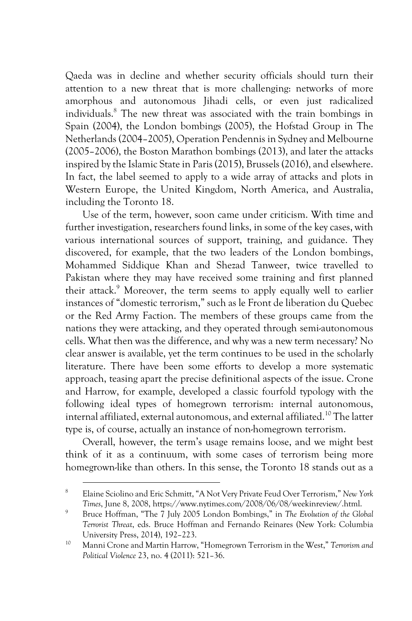Qaeda was in decline and whether security officials should turn their attention to a new threat that is more challenging: networks of more amorphous and autonomous Jihadi cells, or even just radicalized individuals.8 The new threat was associated with the train bombings in Spain (2004), the London bombings (2005), the Hofstad Group in The Netherlands (2004–2005), Operation Pendennis in Sydney and Melbourne (2005–2006), the Boston Marathon bombings (2013), and later the attacks inspired by the Islamic State in Paris (2015), Brussels (2016), and elsewhere. In fact, the label seemed to apply to a wide array of attacks and plots in Western Europe, the United Kingdom, North America, and Australia, including the Toronto 18.

Use of the term, however, soon came under criticism. With time and further investigation, researchers found links, in some of the key cases, with various international sources of support, training, and guidance. They discovered, for example, that the two leaders of the London bombings, Mohammed Siddique Khan and Shezad Tanweer, twice travelled to Pakistan where they may have received some training and first planned their attack.<sup>9</sup> Moreover, the term seems to apply equally well to earlier instances of "domestic terrorism," such as le Front de liberation du Quebec or the Red Army Faction. The members of these groups came from the nations they were attacking, and they operated through semi-autonomous cells. What then was the difference, and why was a new term necessary? No clear answer is available, yet the term continues to be used in the scholarly literature. There have been some efforts to develop a more systematic approach, teasing apart the precise definitional aspects of the issue. Crone and Harrow, for example, developed a classic fourfold typology with the following ideal types of homegrown terrorism: internal autonomous, internal affiliated, external autonomous, and external affiliated.<sup>10</sup> The latter type is, of course, actually an instance of non-homegrown terrorism.

Overall, however, the term's usage remains loose, and we might best think of it as a continuum, with some cases of terrorism being more homegrown-like than others. In this sense, the Toronto 18 stands out as a

<sup>8</sup> Elaine Sciolino and Eric Schmitt, "A Not Very Private Feud Over Terrorism," *New York Times*, June 8, 2008, https://www.nytimes.com/2008/06/08/weekinreview/.html.

<sup>9</sup> Bruce Hoffman, "The 7 July 2005 London Bombings," in *The Evolution of the Global Terrorist Threat*, eds. Bruce Hoffman and Fernando Reinares (New York: Columbia University Press, 2014), 192–223.

<sup>10</sup> Manni Crone and Martin Harrow, "Homegrown Terrorism in the West," *Terrorism and Political Violence* 23, no. 4 (2011): 521–36.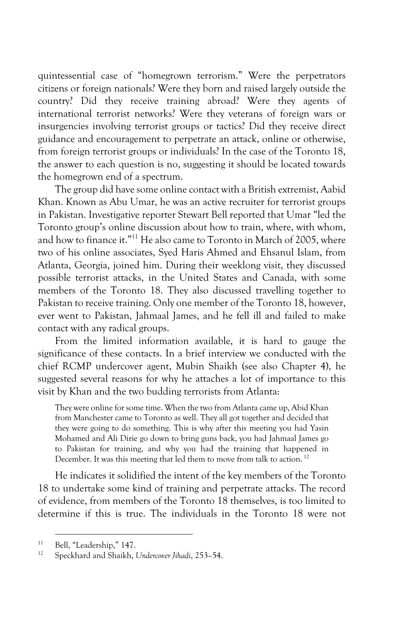quintessential case of "homegrown terrorism." Were the perpetrators citizens or foreign nationals? Were they born and raised largely outside the country? Did they receive training abroad? Were they agents of international terrorist networks? Were they veterans of foreign wars or insurgencies involving terrorist groups or tactics? Did they receive direct guidance and encouragement to perpetrate an attack, online or otherwise, from foreign terrorist groups or individuals? In the case of the Toronto 18, the answer to each question is no, suggesting it should be located towards the homegrown end of a spectrum.

The group did have some online contact with a British extremist, Aabid Khan. Known as Abu Umar, he was an active recruiter for terrorist groups in Pakistan. Investigative reporter Stewart Bell reported that Umar "led the Toronto group's online discussion about how to train, where, with whom, and how to finance it."<sup>11</sup> He also came to Toronto in March of 2005, where two of his online associates, Syed Haris Ahmed and Ehsanul Islam, from Atlanta, Georgia, joined him. During their weeklong visit, they discussed possible terrorist attacks, in the United States and Canada, with some members of the Toronto 18. They also discussed travelling together to Pakistan to receive training. Only one member of the Toronto 18, however, ever went to Pakistan, Jahmaal James, and he fell ill and failed to make contact with any radical groups.

From the limited information available, it is hard to gauge the significance of these contacts. In a brief interview we conducted with the chief RCMP undercover agent, Mubin Shaikh (see also Chapter 4), he suggested several reasons for why he attaches a lot of importance to this visit by Khan and the two budding terrorists from Atlanta:

They were online for some time. When the two from Atlanta came up, Abid Khan from Manchester came to Toronto as well. They all got together and decided that they were going to do something. This is why after this meeting you had Yasin Mohamed and Ali Dirie go down to bring guns back, you had Jahmaal James go to Pakistan for training, and why you had the training that happened in December. It was this meeting that led them to move from talk to action.<sup>12</sup>

He indicates it solidified the intent of the key members of the Toronto 18 to undertake some kind of training and perpetrate attacks. The record of evidence, from members of the Toronto 18 themselves, is too limited to determine if this is true. The individuals in the Toronto 18 were not

<sup>&</sup>lt;sup>11</sup> Bell, "Leadership," 147.

<sup>12</sup> Speckhard and Shaikh, *Undercover Jihadi*, 253–54.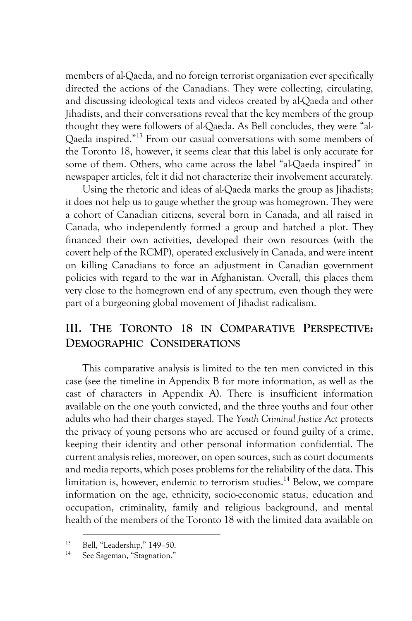members of al-Qaeda, and no foreign terrorist organization ever specifically directed the actions of the Canadians. They were collecting, circulating, and discussing ideological texts and videos created by al-Qaeda and other Jihadists, and their conversations reveal that the key members of the group thought they were followers of al-Qaeda. As Bell concludes, they were "al-Qaeda inspired."13 From our casual conversations with some members of the Toronto 18, however, it seems clear that this label is only accurate for some of them. Others, who came across the label "al-Qaeda inspired" in newspaper articles, felt it did not characterize their involvement accurately.

Using the rhetoric and ideas of al-Qaeda marks the group as Jihadists; it does not help us to gauge whether the group was homegrown. They were a cohort of Canadian citizens, several born in Canada, and all raised in Canada, who independently formed a group and hatched a plot. They financed their own activities, developed their own resources (with the covert help of the RCMP), operated exclusively in Canada, and were intent on killing Canadians to force an adjustment in Canadian government policies with regard to the war in Afghanistan. Overall, this places them very close to the homegrown end of any spectrum, even though they were part of a burgeoning global movement of Jihadist radicalism.

# **III. THE TORONTO 18 IN COMPARATIVE PERSPECTIVE: DEMOGRAPHIC CONSIDERATIONS**

This comparative analysis is limited to the ten men convicted in this case (see the timeline in Appendix B for more information, as well as the cast of characters in Appendix A). There is insufficient information available on the one youth convicted, and the three youths and four other adults who had their charges stayed. The *Youth Criminal Justice Act* protects the privacy of young persons who are accused or found guilty of a crime, keeping their identity and other personal information confidential. The current analysis relies, moreover, on open sources, such as court documents and media reports, which poses problems for the reliability of the data. This limitation is, however, endemic to terrorism studies.<sup>14</sup> Below, we compare information on the age, ethnicity, socio-economic status, education and occupation, criminality, family and religious background, and mental health of the members of the Toronto 18 with the limited data available on

 $13$  Bell, "Leadership," 149–50.

See Sageman, "Stagnation."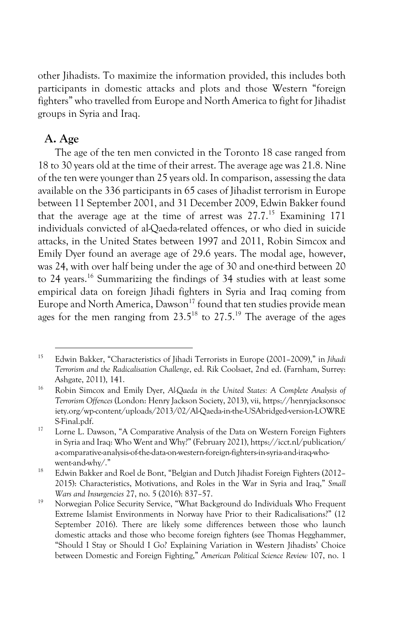other Jihadists. To maximize the information provided, this includes both participants in domestic attacks and plots and those Western "foreign fighters" who travelled from Europe and North America to fight for Jihadist groups in Syria and Iraq.

#### **A. Age**

The age of the ten men convicted in the Toronto 18 case ranged from 18 to 30 years old at the time of their arrest. The average age was 21.8. Nine of the ten were younger than 25 years old. In comparison, assessing the data available on the 336 participants in 65 cases of Jihadist terrorism in Europe between 11 September 2001, and 31 December 2009, Edwin Bakker found that the average age at the time of arrest was  $27.7^{15}$  Examining 171 individuals convicted of al-Qaeda-related offences, or who died in suicide attacks, in the United States between 1997 and 2011, Robin Simcox and Emily Dyer found an average age of 29.6 years. The modal age, however, was 24, with over half being under the age of 30 and one-third between 20 to 24 years.<sup>16</sup> Summarizing the findings of 34 studies with at least some empirical data on foreign Jihadi fighters in Syria and Iraq coming from Europe and North America, Dawson<sup>17</sup> found that ten studies provide mean ages for the men ranging from  $23.5^{18}$  to  $27.5^{19}$  The average of the ages

<sup>15</sup> Edwin Bakker, "Characteristics of Jihadi Terrorists in Europe (2001–2009)," in *Jihadi Terrorism and the Radicalisation Challenge*, ed. Rik Coolsaet, 2nd ed. (Farnham, Surrey: Ashgate, 2011), 141.

<sup>16</sup> Robin Simcox and Emily Dyer, *Al-Qaeda in the United States: A Complete Analysis of Terrorism Offences* (London: Henry Jackson Society, 2013), vii, https://henryjacksonsoc iety.org/wp-content/uploads/2013/02/Al-Qaeda-in-the-USAbridged-version-LOWRE S-Final.pdf.

<sup>&</sup>lt;sup>17</sup> Lorne L. Dawson, "A Comparative Analysis of the Data on Western Foreign Fighters in Syria and Iraq: Who Went and Why?" (February 2021), https://icct.nl/publication/ a-comparative-analysis-of-the-data-on-western-foreign-fighters-in-syria-and-iraq-whowent-and-why/."

<sup>&</sup>lt;sup>18</sup> Edwin Bakker and Roel de Bont, "Belgian and Dutch Jihadist Foreign Fighters (2012– 2015): Characteristics, Motivations, and Roles in the War in Syria and Iraq," *Small Wars and Insurgencies* 27, no. 5 (2016): 837–57.

<sup>&</sup>lt;sup>19</sup> Norwegian Police Security Service, "What Background do Individuals Who Frequent Extreme Islamist Environments in Norway have Prior to their Radicalisations?" (12 September 2016). There are likely some differences between those who launch domestic attacks and those who become foreign fighters (see Thomas Hegghammer, "Should I Stay or Should I Go? Explaining Variation in Western Jihadists' Choice between Domestic and Foreign Fighting," *American Political Science Review* 107, no. 1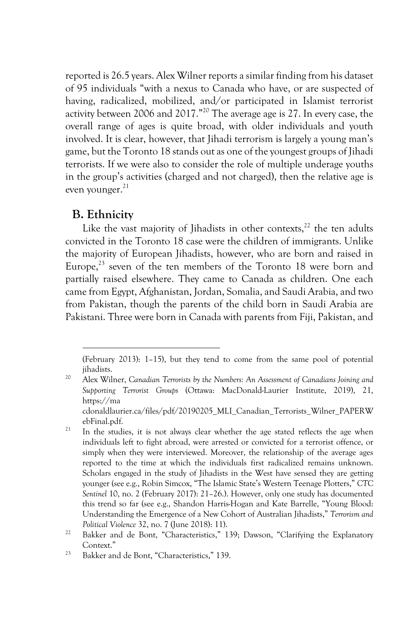reported is 26.5 years. Alex Wilner reports a similar finding from his dataset of 95 individuals "with a nexus to Canada who have, or are suspected of having, radicalized, mobilized, and/or participated in Islamist terrorist activity between 2006 and 2017."20 The average age is 27. In every case, the overall range of ages is quite broad, with older individuals and youth involved. It is clear, however, that Jihadi terrorism is largely a young man's game, but the Toronto 18 stands out as one of the youngest groups of Jihadi terrorists. If we were also to consider the role of multiple underage youths in the group's activities (charged and not charged), then the relative age is even younger.<sup>21</sup>

#### **B. Ethnicity**

Like the vast majority of Jihadists in other contexts, $^{22}$  the ten adults convicted in the Toronto 18 case were the children of immigrants. Unlike the majority of European Jihadists, however, who are born and raised in Europe, $^{23}$  seven of the ten members of the Toronto 18 were born and partially raised elsewhere. They came to Canada as children. One each came from Egypt, Afghanistan, Jordan, Somalia, and Saudi Arabia, and two from Pakistan, though the parents of the child born in Saudi Arabia are Pakistani. Three were born in Canada with parents from Fiji, Pakistan, and

<sup>20</sup> Alex Wilner, *Canadian Terrorists by the Numbers: An Assessment of Canadians Joining and Supporting Terrorist Groups* (Ottawa: MacDonald-Laurier Institute, 2019), 21, https://ma

cdonaldlaurier.ca/files/pdf/20190205\_MLI\_Canadian\_Terrorists\_Wilner\_PAPERW ebFinal.pdf.

 <sup>(</sup>February 2013): 1–15), but they tend to come from the same pool of potential jihadists.

 $21$  In the studies, it is not always clear whether the age stated reflects the age when individuals left to fight abroad, were arrested or convicted for a terrorist offence, or simply when they were interviewed. Moreover, the relationship of the average ages reported to the time at which the individuals first radicalized remains unknown. Scholars engaged in the study of Jihadists in the West have sensed they are getting younger (see e.g., Robin Simcox, "The Islamic State's Western Teenage Plotters," *CTC Sentinel* 10, no. 2 (February 2017): 21–26.). However, only one study has documented this trend so far (see e.g., Shandon Harris-Hogan and Kate Barrelle, "Young Blood: Understanding the Emergence of a New Cohort of Australian Jihadists," *Terrorism and Political Violence* 32, no. 7 (June 2018): 11).<br><sup>22</sup> Bakker and de Bont, "Characteristics," 139; Dawson, "Clarifying the Explanatory

Context."

<sup>23</sup> Bakker and de Bont, "Characteristics," 139.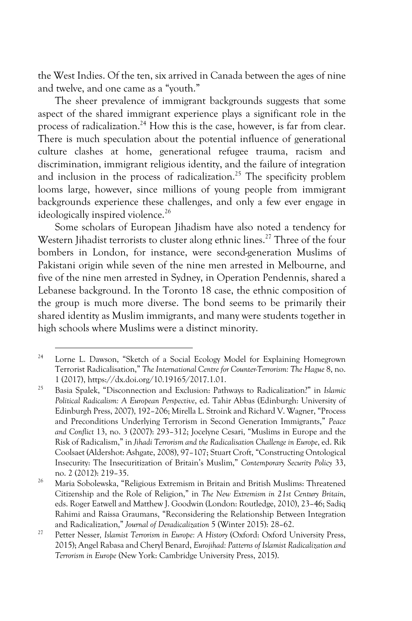the West Indies. Of the ten, six arrived in Canada between the ages of nine and twelve, and one came as a "youth."

The sheer prevalence of immigrant backgrounds suggests that some aspect of the shared immigrant experience plays a significant role in the process of radicalization.<sup>24</sup> How this is the case, however, is far from clear. There is much speculation about the potential influence of generational culture clashes at home, generational refugee trauma, racism and discrimination, immigrant religious identity, and the failure of integration and inclusion in the process of radicalization.<sup>25</sup> The specificity problem looms large, however, since millions of young people from immigrant backgrounds experience these challenges, and only a few ever engage in ideologically inspired violence.<sup>26</sup>

Some scholars of European Jihadism have also noted a tendency for Western Jihadist terrorists to cluster along ethnic lines.<sup>27</sup> Three of the four bombers in London, for instance, were second-generation Muslims of Pakistani origin while seven of the nine men arrested in Melbourne, and five of the nine men arrested in Sydney, in Operation Pendennis, shared a Lebanese background. In the Toronto 18 case, the ethnic composition of the group is much more diverse. The bond seems to be primarily their shared identity as Muslim immigrants, and many were students together in high schools where Muslims were a distinct minority.

<sup>24</sup> Lorne L. Dawson, "Sketch of a Social Ecology Model for Explaining Homegrown Terrorist Radicalisation," *The International Centre for Counter-Terrorism: The Hague* 8, no. 1 (2017), https://dx.doi.org/10.19165/2017.1.01.

<sup>25</sup> Basia Spalek, "Disconnection and Exclusion: Pathways to Radicalization?" in *Islamic Political Radicalism: A European Perspective*, ed. Tahir Abbas (Edinburgh: University of Edinburgh Press, 2007), 192–206; Mirella L. Stroink and Richard V. Wagner, "Process and Preconditions Underlying Terrorism in Second Generation Immigrants," *Peace and Conflict* 13, no. 3 (2007): 293–312; Jocelyne Cesari, "Muslims in Europe and the Risk of Radicalism," in *Jihadi Terrorism and the Radicalisation Challenge in Europe*, ed. Rik Coolsaet (Aldershot: Ashgate, 2008), 97–107; Stuart Croft, "Constructing Ontological Insecurity: The Insecuritization of Britain's Muslim," *Contemporary Security Policy* 33, no. 2 (2012): 219–35.

<sup>26</sup> Maria Sobolewska, "Religious Extremism in Britain and British Muslims: Threatened Citizenship and the Role of Religion," in *The New Extremism in 21st Century Britain*, eds. Roger Eatwell and Matthew J. Goodwin (London: Routledge, 2010), 23–46; Sadiq Rahimi and Raissa Graumans, "Reconsidering the Relationship Between Integration and Radicalization," *Journal of Deradicalization* <sup>5</sup> (Winter 2015): 28–62. 27 Petter Nesser*, Islamist Terrorism in Europe: A History* (Oxford: Oxford University Press,

<sup>2015);</sup> Angel Rabasa and Cheryl Benard, *Eurojihad: Patterns of Islamist Radicalization and Terrorism in Europe* (New York: Cambridge University Press, 2015).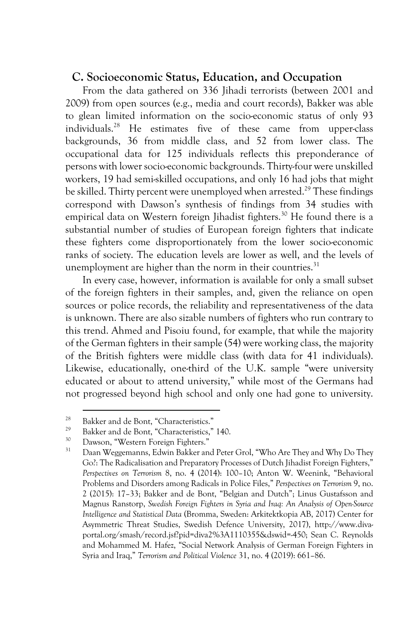#### **C. Socioeconomic Status, Education, and Occupation**

From the data gathered on 336 Jihadi terrorists (between 2001 and 2009) from open sources (e.g., media and court records), Bakker was able to glean limited information on the socio-economic status of only 93 individuals.28 He estimates five of these came from upper-class backgrounds, 36 from middle class, and 52 from lower class. The occupational data for 125 individuals reflects this preponderance of persons with lower socio-economic backgrounds. Thirty-four were unskilled workers, 19 had semi-skilled occupations, and only 16 had jobs that might be skilled. Thirty percent were unemployed when arrested.<sup>29</sup> These findings correspond with Dawson's synthesis of findings from 34 studies with empirical data on Western foreign Jihadist fighters.<sup>30</sup> He found there is a substantial number of studies of European foreign fighters that indicate these fighters come disproportionately from the lower socio-economic ranks of society. The education levels are lower as well, and the levels of unemployment are higher than the norm in their countries. $31$ 

In every case, however, information is available for only a small subset of the foreign fighters in their samples, and, given the reliance on open sources or police records, the reliability and representativeness of the data is unknown. There are also sizable numbers of fighters who run contrary to this trend. Ahmed and Pisoiu found, for example, that while the majority of the German fighters in their sample (54) were working class, the majority of the British fighters were middle class (with data for 41 individuals). Likewise, educationally, one-third of the U.K. sample "were university educated or about to attend university," while most of the Germans had not progressed beyond high school and only one had gone to university.

<sup>&</sup>lt;sup>28</sup> Bakker and de Bont, "Characteristics."

<sup>&</sup>lt;sup>29</sup> Bakker and de Bont, "Characteristics," 140.

<sup>&</sup>lt;sup>30</sup> Dawson, "Western Foreign Fighters."<br><sup>31</sup> Dave Westernames Educin Bakken an

<sup>31</sup> Daan Weggemanns, Edwin Bakker and Peter Grol, "Who Are They and Why Do They Go?: The Radicalisation and Preparatory Processes of Dutch Jihadist Foreign Fighters," *Perspectives on Terrorism* 8, no. 4 (2014): 100–10; Anton W. Weenink, "Behavioral Problems and Disorders among Radicals in Police Files," *Perspectives on Terrorism* 9, no. 2 (2015): 17–33; Bakker and de Bont, "Belgian and Dutch"; Linus Gustafsson and Magnus Ranstorp, *Swedish Foreign Fighters in Syria and Iraq: An Analysis of Open-Source Intelligence and Statistical Data* (Bromma, Sweden: Arkitektkopia AB, 2017) Center for Asymmetric Threat Studies, Swedish Defence University, 2017), http://www.divaportal.org/smash/record.jsf?pid=diva2%3A1110355&dswid=-450; Sean C. Reynolds and Mohammed M. Hafez, "Social Network Analysis of German Foreign Fighters in Syria and Iraq," *Terrorism and Political Violence* 31, no. 4 (2019): 661–86.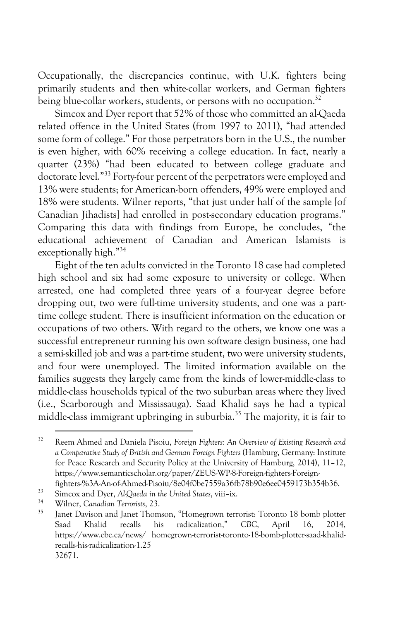Occupationally, the discrepancies continue, with U.K. fighters being primarily students and then white-collar workers, and German fighters being blue-collar workers, students, or persons with no occupation.<sup>32</sup>

Simcox and Dyer report that 52% of those who committed an al-Qaeda related offence in the United States (from 1997 to 2011), "had attended some form of college." For those perpetrators born in the U.S., the number is even higher, with 60% receiving a college education. In fact, nearly a quarter (23%) "had been educated to between college graduate and doctorate level."33 Forty-four percent of the perpetrators were employed and 13% were students; for American-born offenders, 49% were employed and 18% were students. Wilner reports, "that just under half of the sample [of Canadian Jihadists] had enrolled in post-secondary education programs." Comparing this data with findings from Europe, he concludes, "the educational achievement of Canadian and American Islamists is exceptionally high."34

Eight of the ten adults convicted in the Toronto 18 case had completed high school and six had some exposure to university or college. When arrested, one had completed three years of a four-year degree before dropping out, two were full-time university students, and one was a parttime college student. There is insufficient information on the education or occupations of two others. With regard to the others, we know one was a successful entrepreneur running his own software design business, one had a semi-skilled job and was a part-time student, two were university students, and four were unemployed. The limited information available on the families suggests they largely came from the kinds of lower-middle-class to middle-class households typical of the two suburban areas where they lived (i.e., Scarborough and Mississauga). Saad Khalid says he had a typical middle-class immigrant upbringing in suburbia.<sup>35</sup> The majority, it is fair to

<sup>32</sup> Reem Ahmed and Daniela Pisoiu, *Foreign Fighters: An Overview of Existing Research and a Comparative Study of British and German Foreign Fighters* (Hamburg, Germany: Institute for Peace Research and Security Policy at the University of Hamburg, 2014), 11–12, https://www.semanticscholar.org/paper/ZEUS-WP-8-Foreign-fighters-Foreignfighters-%3A-An-of-Ahmed-Pisoiu/8e04f0be7559a36fb78b90e6ee0459173b354b36.

<sup>&</sup>lt;sup>33</sup> Simcox and Dyer, *Al-Qaeda in the United States*, viii–ix.

<sup>34</sup> Wilner, *Canadian Terrorists*, 23.

Janet Davison and Janet Thomson, "Homegrown terrorist: Toronto 18 bomb plotter Saad Khalid recalls his radicalization," *CBC*, April 16, 2014, https://www.cbc.ca/news/ homegrown-terrorist-toronto-18-bomb-plotter-saad-khalidrecalls-his-radicalization-1.25 32671.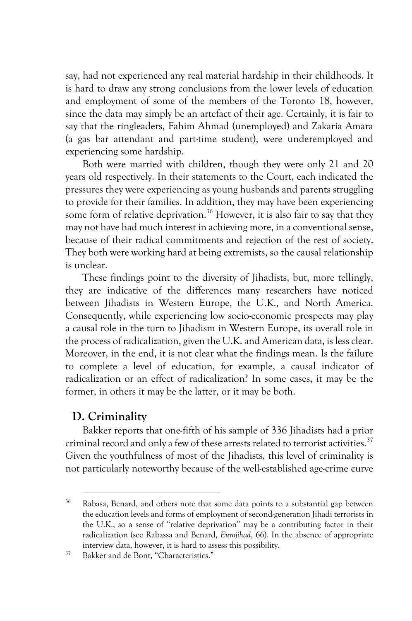say, had not experienced any real material hardship in their childhoods. It is hard to draw any strong conclusions from the lower levels of education and employment of some of the members of the Toronto 18, however, since the data may simply be an artefact of their age. Certainly, it is fair to say that the ringleaders, Fahim Ahmad (unemployed) and Zakaria Amara (a gas bar attendant and part-time student), were underemployed and experiencing some hardship.

Both were married with children, though they were only 21 and 20 years old respectively. In their statements to the Court, each indicated the pressures they were experiencing as young husbands and parents struggling to provide for their families. In addition, they may have been experiencing some form of relative deprivation.<sup>36</sup> However, it is also fair to say that they may not have had much interest in achieving more, in a conventional sense, because of their radical commitments and rejection of the rest of society. They both were working hard at being extremists, so the causal relationship is unclear.

These findings point to the diversity of Jihadists, but, more tellingly, they are indicative of the differences many researchers have noticed between Jihadists in Western Europe, the U.K., and North America. Consequently, while experiencing low socio-economic prospects may play a causal role in the turn to Jihadism in Western Europe, its overall role in the process of radicalization, given the U.K. and American data, is less clear. Moreover, in the end, it is not clear what the findings mean. Is the failure to complete a level of education, for example, a causal indicator of radicalization or an effect of radicalization? In some cases, it may be the former, in others it may be the latter, or it may be both.

### **D. Criminality**

Bakker reports that one-fifth of his sample of 336 Jihadists had a prior criminal record and only a few of these arrests related to terrorist activities.<sup>37</sup> Given the youthfulness of most of the Jihadists, this level of criminality is not particularly noteworthy because of the well-established age-crime curve

<sup>36</sup> Rabasa, Benard, and others note that some data points to a substantial gap between the education levels and forms of employment of second-generation Jihadi terrorists in the U.K., so a sense of "relative deprivation" may be a contributing factor in their radicalization (see Rabassa and Benard, *Eurojihad*, 66). In the absence of appropriate interview data, however, it is hard to assess this possibility. 37 Bakker and de Bont, "Characteristics."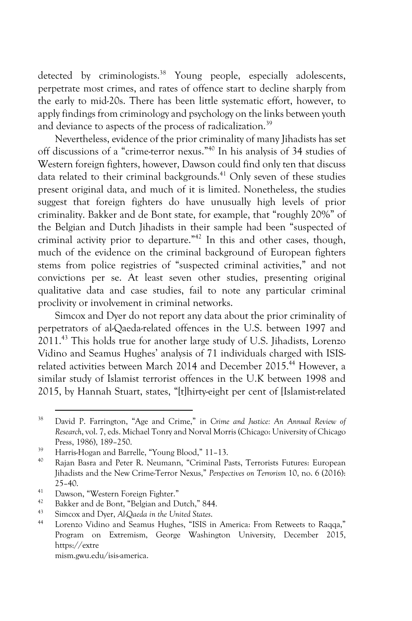detected by criminologists.<sup>38</sup> Young people, especially adolescents, perpetrate most crimes, and rates of offence start to decline sharply from the early to mid-20s. There has been little systematic effort, however, to apply findings from criminology and psychology on the links between youth and deviance to aspects of the process of radicalization.<sup>39</sup>

Nevertheless, evidence of the prior criminality of many Jihadists has set off discussions of a "crime-terror nexus." <sup>40</sup> In his analysis of 34 studies of Western foreign fighters, however, Dawson could find only ten that discuss data related to their criminal backgrounds.<sup>41</sup> Only seven of these studies present original data, and much of it is limited. Nonetheless, the studies suggest that foreign fighters do have unusually high levels of prior criminality. Bakker and de Bont state, for example, that "roughly 20%" of the Belgian and Dutch Jihadists in their sample had been "suspected of criminal activity prior to departure."42 In this and other cases, though, much of the evidence on the criminal background of European fighters stems from police registries of "suspected criminal activities," and not convictions per se. At least seven other studies, presenting original qualitative data and case studies, fail to note any particular criminal proclivity or involvement in criminal networks.

Simcox and Dyer do not report any data about the prior criminality of perpetrators of al-Qaeda-related offences in the U.S. between 1997 and 2011.43 This holds true for another large study of U.S. Jihadists, Lorenzo Vidino and Seamus Hughes' analysis of 71 individuals charged with ISISrelated activities between March 2014 and December 2015.<sup>44</sup> However, a similar study of Islamist terrorist offences in the U.K between 1998 and 2015, by Hannah Stuart, states, "[t]hirty-eight per cent of [Islamist-related

- <sup>41</sup> Dawson, "Western Foreign Fighter."<br><sup>42</sup> Palden and de Bant, "Balgian and D
- <sup>42</sup> Bakker and de Bont, "Belgian and Dutch," 844.<br><sup>43</sup> Simony and Drox, Al Quada in the United States.
- <sup>43</sup> Simcox and Dyer, *Al-Qaeda in the United States*.

<sup>38</sup> David P. Farrington, "Age and Crime," in *Crime and Justice: An Annual Review of Research*, vol. 7, eds. Michael Tonry and Norval Morris (Chicago: University of Chicago Press, 1986), 189–250.

<sup>39</sup> Harris-Hogan and Barrelle, "Young Blood," 11–13.

<sup>40</sup> Rajan Basra and Peter R. Neumann, "Criminal Pasts, Terrorists Futures: European Jihadists and the New Crime-Terror Nexus," *Perspectives on Terrorism* 10, no. 6 (2016):  $25 - 40.$ 

<sup>44</sup> Lorenzo Vidino and Seamus Hughes, "ISIS in America: From Retweets to Raqqa," Program on Extremism, George Washington University, December 2015, https://extre mism.gwu.edu/isis-america.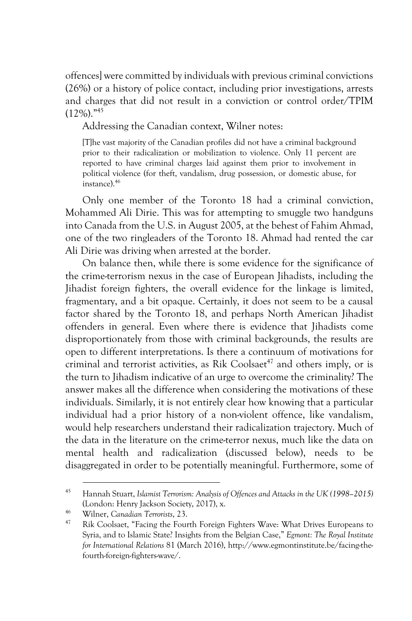offences] were committed by individuals with previous criminal convictions (26%) or a history of police contact, including prior investigations, arrests and charges that did not result in a conviction or control order/TPIM  $(12\%)$ ."<sup>45</sup>

Addressing the Canadian context, Wilner notes:

[T]he vast majority of the Canadian profiles did not have a criminal background prior to their radicalization or mobilization to violence. Only 11 percent are reported to have criminal charges laid against them prior to involvement in political violence (for theft, vandalism, drug possession, or domestic abuse, for instance).46

Only one member of the Toronto 18 had a criminal conviction, Mohammed Ali Dirie. This was for attempting to smuggle two handguns into Canada from the U.S. in August 2005, at the behest of Fahim Ahmad, one of the two ringleaders of the Toronto 18. Ahmad had rented the car Ali Dirie was driving when arrested at the border.

On balance then, while there is some evidence for the significance of the crime-terrorism nexus in the case of European Jihadists, including the Jihadist foreign fighters, the overall evidence for the linkage is limited, fragmentary, and a bit opaque. Certainly, it does not seem to be a causal factor shared by the Toronto 18, and perhaps North American Jihadist offenders in general. Even where there is evidence that Jihadists come disproportionately from those with criminal backgrounds, the results are open to different interpretations. Is there a continuum of motivations for criminal and terrorist activities, as Rik Coolsaet<sup>47</sup> and others imply, or is the turn to Jihadism indicative of an urge to overcome the criminality? The answer makes all the difference when considering the motivations of these individuals. Similarly, it is not entirely clear how knowing that a particular individual had a prior history of a non-violent offence, like vandalism, would help researchers understand their radicalization trajectory. Much of the data in the literature on the crime-terror nexus, much like the data on mental health and radicalization (discussed below), needs to be disaggregated in order to be potentially meaningful. Furthermore, some of

<sup>45</sup> Hannah Stuart, *Islamist Terrorism: Analysis of Offences and Attacks in the UK (1998–2015)* (London: Henry Jackson Society, 2017), x.

<sup>46</sup> Wilner, *Canadian Terrorists*, 23.

<sup>&</sup>lt;sup>47</sup> Rik Coolsaet, "Facing the Fourth Foreign Fighters Wave: What Drives Europeans to Syria, and to Islamic State? Insights from the Belgian Case," *Egmont: The Royal Institute for International Relations* 81 (March 2016), http://www.egmontinstitute.be/facing-thefourth-foreign-fighters-wave/.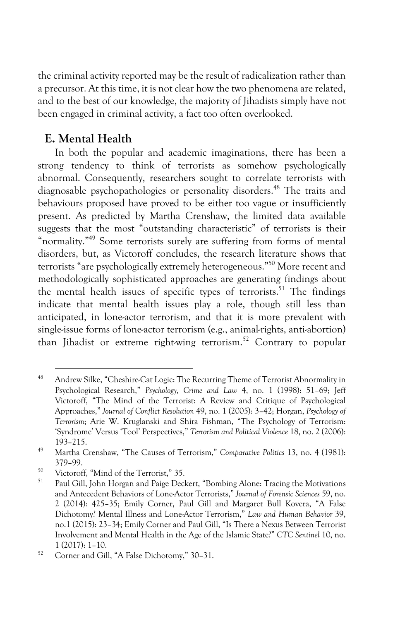the criminal activity reported may be the result of radicalization rather than a precursor. At this time, it is not clear how the two phenomena are related, and to the best of our knowledge, the majority of Jihadists simply have not been engaged in criminal activity, a fact too often overlooked.

## **E. Mental Health**

In both the popular and academic imaginations, there has been a strong tendency to think of terrorists as somehow psychologically abnormal. Consequently, researchers sought to correlate terrorists with diagnosable psychopathologies or personality disorders.<sup>48</sup> The traits and behaviours proposed have proved to be either too vague or insufficiently present. As predicted by Martha Crenshaw, the limited data available suggests that the most "outstanding characteristic" of terrorists is their "normality."<sup>49</sup> Some terrorists surely are suffering from forms of mental disorders, but, as Victoroff concludes, the research literature shows that terrorists "are psychologically extremely heterogeneous." <sup>50</sup> More recent and methodologically sophisticated approaches are generating findings about the mental health issues of specific types of terrorists.<sup>51</sup> The findings indicate that mental health issues play a role, though still less than anticipated, in lone-actor terrorism, and that it is more prevalent with single-issue forms of lone-actor terrorism (e.g., animal-rights, anti-abortion) than Jihadist or extreme right-wing terrorism.<sup>52</sup> Contrary to popular

<sup>48</sup> Andrew Silke, "Cheshire-Cat Logic: The Recurring Theme of Terrorist Abnormality in Psychological Research," *Psychology, Crime and Law* 4, no. 1 (1998): 51–69; Jeff Victoroff, "The Mind of the Terrorist: A Review and Critique of Psychological Approaches," *Journal of Conflict Resolution* 49, no. 1 (2005): 3–42; Horgan, *Psychology of Terrorism*; Arie W. Kruglanski and Shira Fishman, "The Psychology of Terrorism: 'Syndrome' Versus 'Tool' Perspectives," *Terrorism and Political Violence* 18, no. 2 (2006): 193–215.

<sup>49</sup> Martha Crenshaw, "The Causes of Terrorism," *Comparative Politics* 13, no. 4 (1981): 379–99.

 $^{50}$  Victoroff, "Mind of the Terrorist," 35.

Paul Gill, John Horgan and Paige Deckert, "Bombing Alone: Tracing the Motivations and Antecedent Behaviors of Lone-Actor Terrorists," *Journal of Forensic Sciences* 59, no. 2 (2014): 425–35; Emily Corner, Paul Gill and Margaret Bull Kovera, "A False Dichotomy? Mental Illness and Lone-Actor Terrorism," *Law and Human Behavior* 39, no.1 (2015): 23–34; Emily Corner and Paul Gill, "Is There a Nexus Between Terrorist Involvement and Mental Health in the Age of the Islamic State?" *CTC Sentinel* 10, no. 1 (2017): 1–10.

<sup>52</sup> Corner and Gill, "A False Dichotomy," 30–31.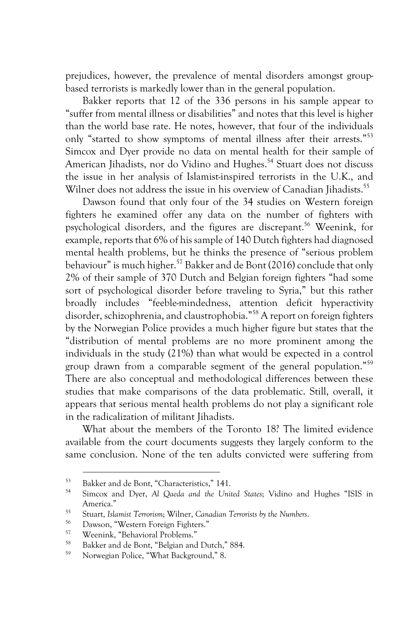prejudices, however, the prevalence of mental disorders amongst groupbased terrorists is markedly lower than in the general population.

Bakker reports that 12 of the 336 persons in his sample appear to "suffer from mental illness or disabilities" and notes that this level is higher than the world base rate. He notes, however, that four of the individuals only "started to show symptoms of mental illness after their arrests."53 Simcox and Dyer provide no data on mental health for their sample of American Jihadists, nor do Vidino and Hughes.<sup>54</sup> Stuart does not discuss the issue in her analysis of Islamist-inspired terrorists in the U.K., and Wilner does not address the issue in his overview of Canadian Jihadists.<sup>55</sup>

Dawson found that only four of the 34 studies on Western foreign fighters he examined offer any data on the number of fighters with psychological disorders, and the figures are discrepant.<sup>56</sup> Weenink, for example, reports that 6% of his sample of 140 Dutch fighters had diagnosed mental health problems, but he thinks the presence of "serious problem behaviour" is much higher.<sup>57</sup> Bakker and de Bont (2016) conclude that only 2% of their sample of 370 Dutch and Belgian foreign fighters "had some sort of psychological disorder before traveling to Syria," but this rather broadly includes "feeble-mindedness, attention deficit hyperactivity disorder, schizophrenia, and claustrophobia."<sup>58</sup> A report on foreign fighters by the Norwegian Police provides a much higher figure but states that the "distribution of mental problems are no more prominent among the individuals in the study (21%) than what would be expected in a control group drawn from a comparable segment of the general population."59 There are also conceptual and methodological differences between these studies that make comparisons of the data problematic. Still, overall, it appears that serious mental health problems do not play a significant role in the radicalization of militant Jihadists.

What about the members of the Toronto 18? The limited evidence available from the court documents suggests they largely conform to the same conclusion. None of the ten adults convicted were suffering from

 $^{53}$  Bakker and de Bont, "Characteristics," 141.

<sup>54</sup> Simcox and Dyer, *Al Qaeda and the United States*; Vidino and Hughes "ISIS in America."

<sup>55</sup> Stuart, *Islamist Terrorism*; Wilner, *Canadian Terrorists by the Numbers*.

<sup>&</sup>lt;sup>56</sup> Dawson, "Western Foreign Fighters."

 $57$  Weenink, "Behavioral Problems."

<sup>&</sup>lt;sup>58</sup> Bakker and de Bont, "Belgian and Dutch," 884.

Norwegian Police, "What Background," 8.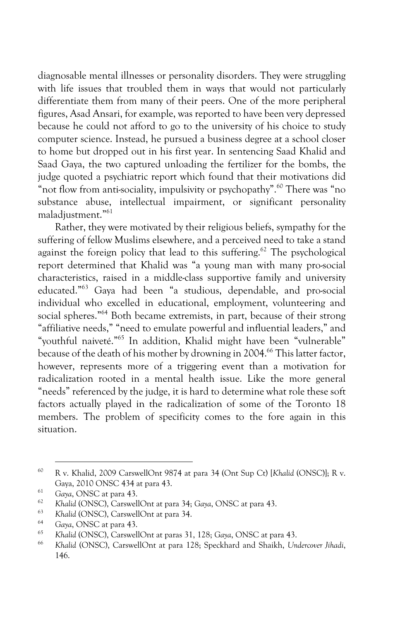diagnosable mental illnesses or personality disorders. They were struggling with life issues that troubled them in ways that would not particularly differentiate them from many of their peers. One of the more peripheral figures, Asad Ansari, for example, was reported to have been very depressed because he could not afford to go to the university of his choice to study computer science. Instead, he pursued a business degree at a school closer to home but dropped out in his first year. In sentencing Saad Khalid and Saad Gaya, the two captured unloading the fertilizer for the bombs, the judge quoted a psychiatric report which found that their motivations did "not flow from anti-sociality, impulsivity or psychopathy".<sup>60</sup> There was "no substance abuse, intellectual impairment, or significant personality maladjustment."61

Rather, they were motivated by their religious beliefs, sympathy for the suffering of fellow Muslims elsewhere, and a perceived need to take a stand against the foreign policy that lead to this suffering.<sup>62</sup> The psychological report determined that Khalid was "a young man with many pro-social characteristics, raised in a middle-class supportive family and university educated."63 Gaya had been "a studious, dependable, and pro-social individual who excelled in educational, employment, volunteering and social spheres." <sup>64</sup> Both became extremists, in part, because of their strong "affiliative needs," "need to emulate powerful and influential leaders," and "youthful naiveté." <sup>65</sup> In addition, Khalid might have been "vulnerable" because of the death of his mother by drowning in 2004.<sup>66</sup> This latter factor, however, represents more of a triggering event than a motivation for radicalization rooted in a mental health issue. Like the more general "needs" referenced by the judge, it is hard to determine what role these soft factors actually played in the radicalization of some of the Toronto 18 members. The problem of specificity comes to the fore again in this situation.

<sup>60</sup> R v. Khalid, 2009 CarswellOnt 9874 at para 34 (Ont Sup Ct) [*Khalid* (ONSC)]; R v. Gaya, 2010 ONSC 434 at para 43.

<sup>&</sup>lt;sup>61</sup> Gaya, ONSC at para 43.

<sup>62</sup> *Khalid* (ONSC), CarswellOnt at para 34; *Gaya*, ONSC at para 43.

<sup>63</sup> *Khalid* (ONSC), CarswellOnt at para 34.

<sup>64</sup> *Gaya*, ONSC at para 43.

<sup>65</sup> *Khalid* (ONSC), CarswellOnt at paras 31, 128; *Gaya*, ONSC at para 43.

<sup>66</sup> *Khalid* (ONSC), CarswellOnt at para 128; Speckhard and Shaikh, *Undercover Jihadi*, 146.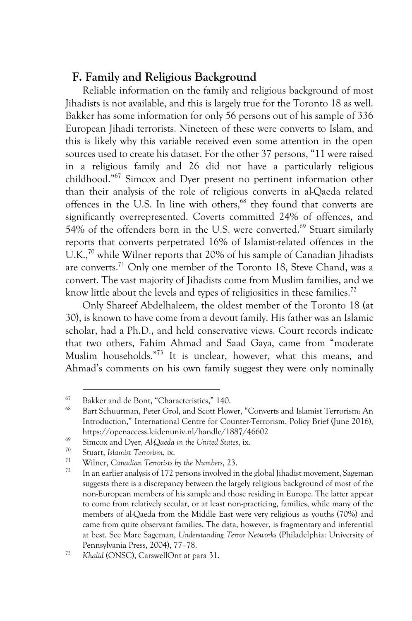## **F. Family and Religious Background**

Reliable information on the family and religious background of most Jihadists is not available, and this is largely true for the Toronto 18 as well. Bakker has some information for only 56 persons out of his sample of 336 European Jihadi terrorists. Nineteen of these were converts to Islam, and this is likely why this variable received even some attention in the open sources used to create his dataset. For the other 37 persons, "11 were raised in a religious family and 26 did not have a particularly religious childhood." <sup>67</sup> Simcox and Dyer present no pertinent information other than their analysis of the role of religious converts in al-Qaeda related offences in the U.S. In line with others,<sup>68</sup> they found that converts are significantly overrepresented. Coverts committed 24% of offences, and 54% of the offenders born in the U.S. were converted.<sup>69</sup> Stuart similarly reports that converts perpetrated 16% of Islamist-related offences in the U.K.,<sup>70</sup> while Wilner reports that 20% of his sample of Canadian Jihadists are converts.<sup>71</sup> Only one member of the Toronto 18, Steve Chand, was a convert. The vast majority of Jihadists come from Muslim families, and we know little about the levels and types of religiosities in these families.<sup>72</sup>

Only Shareef Abdelhaleem, the oldest member of the Toronto 18 (at 30), is known to have come from a devout family. His father was an Islamic scholar, had a Ph.D., and held conservative views. Court records indicate that two others, Fahim Ahmad and Saad Gaya, came from "moderate Muslim households." <sup>73</sup> It is unclear, however, what this means, and Ahmad's comments on his own family suggest they were only nominally

 $^{67}$  Bakker and de Bont, "Characteristics," 140.

<sup>68</sup> Bart Schuurman, Peter Grol, and Scott Flower, "Converts and Islamist Terrorism: An Introduction," International Centre for Counter-Terrorism, Policy Brief (June 2016), https://openaccess.leidenuniv.nl/handle/1887/46602

<sup>69</sup> Simcox and Dyer, *Al-Qaeda in the United States*, ix.

<sup>70</sup> Stuart, *Islamist Terrorism*, ix.

<sup>71</sup> Wilner, *Canadian Terrorists by the Numbers*, 23.

In an earlier analysis of 172 persons involved in the global Jihadist movement, Sageman suggests there is a discrepancy between the largely religious background of most of the non-European members of his sample and those residing in Europe. The latter appear to come from relatively secular, or at least non-practicing, families, while many of the members of al-Qaeda from the Middle East were very religious as youths (70%) and came from quite observant families. The data, however, is fragmentary and inferential at best. See Marc Sageman, *Understanding Terror Networks* (Philadelphia: University of Pennsylvania Press, 2004), 77–78. 73 *Khalid* (ONSC), CarswellOnt at para 31.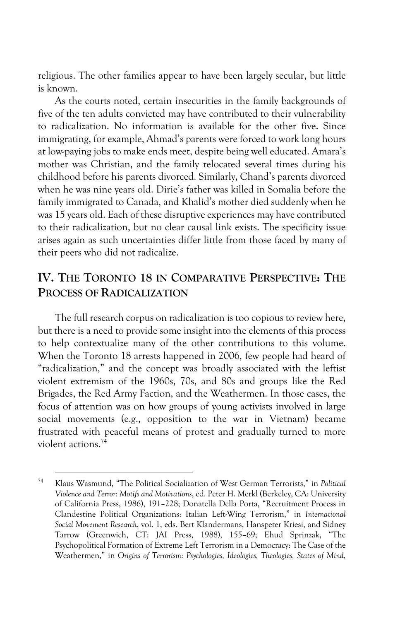religious. The other families appear to have been largely secular, but little is known.

As the courts noted, certain insecurities in the family backgrounds of five of the ten adults convicted may have contributed to their vulnerability to radicalization. No information is available for the other five. Since immigrating, for example, Ahmad's parents were forced to work long hours at low-paying jobs to make ends meet, despite being well educated. Amara's mother was Christian, and the family relocated several times during his childhood before his parents divorced. Similarly, Chand's parents divorced when he was nine years old. Dirie's father was killed in Somalia before the family immigrated to Canada, and Khalid's mother died suddenly when he was 15 years old. Each of these disruptive experiences may have contributed to their radicalization, but no clear causal link exists. The specificity issue arises again as such uncertainties differ little from those faced by many of their peers who did not radicalize.

# **IV. THE TORONTO 18 IN COMPARATIVE PERSPECTIVE: THE PROCESS OF RADICALIZATION**

The full research corpus on radicalization is too copious to review here, but there is a need to provide some insight into the elements of this process to help contextualize many of the other contributions to this volume. When the Toronto 18 arrests happened in 2006, few people had heard of "radicalization," and the concept was broadly associated with the leftist violent extremism of the 1960s, 70s, and 80s and groups like the Red Brigades, the Red Army Faction, and the Weathermen. In those cases, the focus of attention was on how groups of young activists involved in large social movements (e.g., opposition to the war in Vietnam) became frustrated with peaceful means of protest and gradually turned to more violent actions.74

<sup>74</sup> Klaus Wasmund, "The Political Socialization of West German Terrorists," in *Political Violence and Terror: Motifs and Motivations*, ed*.* Peter H. Merkl (Berkeley, CA: University of California Press, 1986), 191–228; Donatella Della Porta, "Recruitment Process in Clandestine Political Organizations: Italian Left-Wing Terrorism," in *International Social Movement Research*, vol. 1, eds. Bert Klandermans, Hanspeter Kriesi, and Sidney Tarrow (Greenwich, CT: JAI Press, 1988), 155–69; Ehud Sprinzak, "The Psychopolitical Formation of Extreme Left Terrorism in a Democracy: The Case of the Weathermen," in *Origins of Terrorism: Psychologies, Ideologies, Theologies, States of Mind*,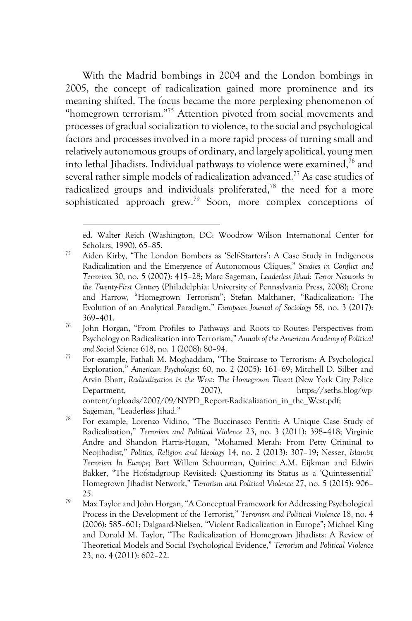With the Madrid bombings in 2004 and the London bombings in 2005, the concept of radicalization gained more prominence and its meaning shifted. The focus became the more perplexing phenomenon of "homegrown terrorism."<sup>75</sup> Attention pivoted from social movements and processes of gradual socialization to violence, to the social and psychological factors and processes involved in a more rapid process of turning small and relatively autonomous groups of ordinary, and largely apolitical, young men into lethal Jihadists. Individual pathways to violence were examined,  $76$  and several rather simple models of radicalization advanced.<sup>77</sup> As case studies of radicalized groups and individuals proliferated,<sup>78</sup> the need for a more sophisticated approach grew.<sup>79</sup> Soon, more complex conceptions of

ed. Walter Reich (Washington, DC: Woodrow Wilson International Center for Scholars, 1990), 65–85.

<sup>75</sup> Aiden Kirby, "The London Bombers as 'Self-Starters': A Case Study in Indigenous Radicalization and the Emergence of Autonomous Cliques," *Studies in Conflict and Terrorism* 30, no. 5 (2007): 415–28; Marc Sageman, *Leaderless Jihad: Terror Networks in the Twenty-First Century* (Philadelphia: University of Pennsylvania Press, 2008); Crone and Harrow, "Homegrown Terrorism"; Stefan Malthaner, "Radicalization: The Evolution of an Analytical Paradigm," *European Journal of Sociology* 58, no. 3 (2017): 369–401. 76 John Horgan, "From Profiles to Pathways and Roots to Routes: Perspectives from

Psychology on Radicalization into Terrorism," *Annals of the American Academy of Political and Social Science* 618, no. 1 (2008): 80–94.

<sup>77</sup> For example, Fathali M. Moghaddam, "The Staircase to Terrorism: A Psychological Exploration," *American Psychologist* 60, no. 2 (2005): 161–69; Mitchell D. Silber and Arvin Bhatt, *Radicalization in the West: The Homegrown Threat* (New York City Police Department, 2007), https://seths.blog/wpcontent/uploads/2007/09/NYPD\_Report-Radicalization\_in\_the\_West.pdf; Sageman, "Leaderless Jihad."

<sup>78</sup> For example, Lorenzo Vidino, "The Buccinasco Pentiti: A Unique Case Study of Radicalization," *Terrorism and Political Violence* 23, no. 3 (2011): 398–418; Virginie Andre and Shandon Harris-Hogan, "Mohamed Merah: From Petty Criminal to Neojihadist," *Politics, Religion and Ideology* 14, no. 2 (2013): 307–19; Nesser, *Islamist Terrorism In Europe*; Bart Willem Schuurman, Quirine A.M. Eijkman and Edwin Bakker, "The Hofstadgroup Revisited: Questioning its Status as a 'Quintessential' Homegrown Jihadist Network," *Terrorism and Political Violence* 27, no. 5 (2015): 906– 25.

<sup>79</sup> Max Taylor and John Horgan, "A Conceptual Framework for Addressing Psychological Process in the Development of the Terrorist," *Terrorism and Political Violence* 18, no. 4 (2006): 585–601; Dalgaard-Nielsen, "Violent Radicalization in Europe"; Michael King and Donald M. Taylor, "The Radicalization of Homegrown Jihadists: A Review of Theoretical Models and Social Psychological Evidence," *Terrorism and Political Violence* 23, no. 4 (2011): 602–22.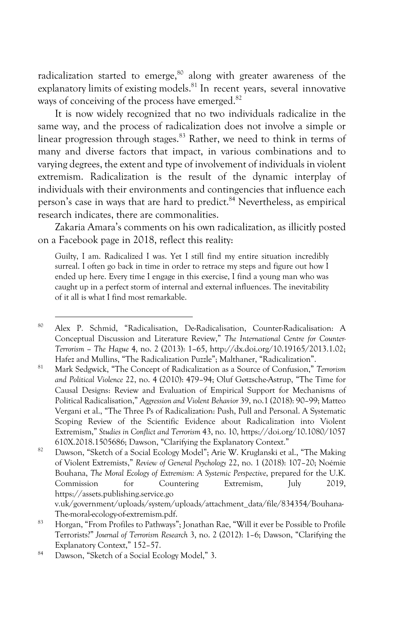radicalization started to emerge,<sup>80</sup> along with greater awareness of the explanatory limits of existing models.<sup>81</sup> In recent years, several innovative ways of conceiving of the process have emerged.<sup>82</sup>

It is now widely recognized that no two individuals radicalize in the same way, and the process of radicalization does not involve a simple or linear progression through stages. $83$  Rather, we need to think in terms of many and diverse factors that impact, in various combinations and to varying degrees, the extent and type of involvement of individuals in violent extremism. Radicalization is the result of the dynamic interplay of individuals with their environments and contingencies that influence each person's case in ways that are hard to predict.<sup>84</sup> Nevertheless, as empirical research indicates, there are commonalities.

Zakaria Amara's comments on his own radicalization, as illicitly posted on a Facebook page in 2018, reflect this reality:

Guilty, I am. Radicalized I was. Yet I still find my entire situation incredibly surreal. I often go back in time in order to retrace my steps and figure out how I ended up here. Every time I engage in this exercise, I find a young man who was caught up in a perfect storm of internal and external influences. The inevitability of it all is what I find most remarkable.

<sup>82</sup> Dawson, "Sketch of a Social Ecology Model"; Arie W. Kruglanski et al., "The Making of Violent Extremists," *Review of General Psychology* 22, no. 1 (2018): 107–20; Noémie Bouhana, *The Moral Ecology of Extremism: A Systemic Perspective*, prepared for the U.K. Commission for Countering Extremism, July 2019, https://assets.publishing.service.go v.uk/government/uploads/system/uploads/attachment\_data/file/834354/Bouhana-

<sup>80</sup> Alex P. Schmid, "Radicalisation, De-Radicalisation, Counter-Radicalisation: A Conceptual Discussion and Literature Review," *The International Centre for Counter-Terrorism – The Hague* 4, no. 2 (2013): 1–65, http://dx.doi.org/10.19165/2013.1.02; Hafez and Mullins, "The Radicalization Puzzle"; Malthaner, "Radicalization".

<sup>81</sup> Mark Sedgwick, "The Concept of Radicalization as a Source of Confusion," *Terrorism and Political Violence* 22, no. 4 (2010): 479–94; Oluf Gøtzsche-Astrup, "The Time for Causal Designs: Review and Evaluation of Empirical Support for Mechanisms of Political Radicalisation," *Aggression and Violent Behavior* 39, no.1 (2018): 90–99; Matteo Vergani et al., "The Three Ps of Radicalization: Push, Pull and Personal. A Systematic Scoping Review of the Scientific Evidence about Radicalization into Violent Extremism," *Studies in Conflict and Terrorism* 43, no. 10, https://doi.org/10.1080/1057 610X.2018.1505686; Dawson, "Clarifying the Explanatory Context."

The-moral-ecology-of-extremism.pdf.<br><sup>83</sup> Horgan, "From Profiles to Pathways"; Jonathan Rae, "Will it ever be Possible to Profile Terrorists?" *Journal of Terrorism Research* 3, no. 2 (2012): 1–6; Dawson, "Clarifying the Explanatory Context," 152–57.

<sup>84</sup> Dawson, "Sketch of a Social Ecology Model," 3.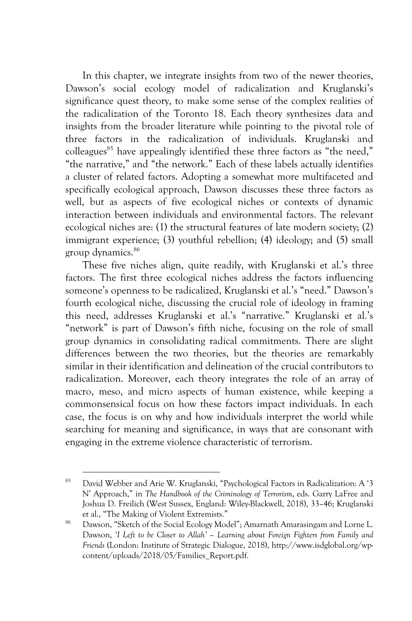In this chapter, we integrate insights from two of the newer theories, Dawson's social ecology model of radicalization and Kruglanski's significance quest theory, to make some sense of the complex realities of the radicalization of the Toronto 18. Each theory synthesizes data and insights from the broader literature while pointing to the pivotal role of three factors in the radicalization of individuals. Kruglanski and colleagues<sup>85</sup> have appealingly identified these three factors as "the need," "the narrative," and "the network." Each of these labels actually identifies a cluster of related factors. Adopting a somewhat more multifaceted and specifically ecological approach, Dawson discusses these three factors as well, but as aspects of five ecological niches or contexts of dynamic interaction between individuals and environmental factors. The relevant ecological niches are: (1) the structural features of late modern society; (2) immigrant experience; (3) youthful rebellion; (4) ideology; and (5) small group dynamics.86

These five niches align, quite readily, with Kruglanski et al.'s three factors. The first three ecological niches address the factors influencing someone's openness to be radicalized, Kruglanski et al.'s "need." Dawson's fourth ecological niche, discussing the crucial role of ideology in framing this need, addresses Kruglanski et al.'s "narrative." Kruglanski et al.'s "network" is part of Dawson's fifth niche, focusing on the role of small group dynamics in consolidating radical commitments. There are slight differences between the two theories, but the theories are remarkably similar in their identification and delineation of the crucial contributors to radicalization. Moreover, each theory integrates the role of an array of macro, meso, and micro aspects of human existence, while keeping a commonsensical focus on how these factors impact individuals. In each case, the focus is on why and how individuals interpret the world while searching for meaning and significance, in ways that are consonant with engaging in the extreme violence characteristic of terrorism.

<sup>85</sup> David Webber and Arie W. Kruglanski, "Psychological Factors in Radicalization: A '3 N' Approach," in *The Handbook of the Criminology of Terrorism*, eds. Garry LaFree and Joshua D. Freilich (West Sussex, England: Wiley-Blackwell, 2018), 33–46; Kruglanski et al., "The Making of Violent Extremists."

<sup>86</sup> Dawson, "Sketch of the Social Ecology Model"; Amarnath Amarasingam and Lorne L. Dawson, *'I Left to be Closer to Allah' – Learning about Foreign Fighters from Family and Friends* (London: Institute of Strategic Dialogue, 2018), http://www.isdglobal.org/wpcontent/uploads/2018/05/Families\_Report.pdf.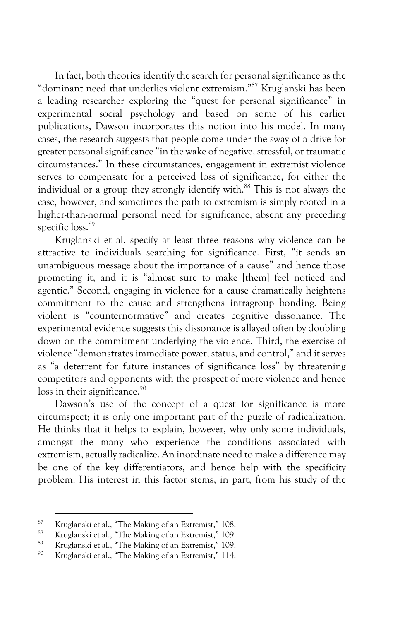In fact, both theories identify the search for personal significance as the "dominant need that underlies violent extremism." <sup>87</sup> Kruglanski has been a leading researcher exploring the "quest for personal significance" in experimental social psychology and based on some of his earlier publications, Dawson incorporates this notion into his model. In many cases, the research suggests that people come under the sway of a drive for greater personal significance "in the wake of negative, stressful, or traumatic circumstances." In these circumstances, engagement in extremist violence serves to compensate for a perceived loss of significance, for either the individual or a group they strongly identify with.<sup>88</sup> This is not always the case, however, and sometimes the path to extremism is simply rooted in a higher-than-normal personal need for significance, absent any preceding specific loss.<sup>89</sup>

Kruglanski et al. specify at least three reasons why violence can be attractive to individuals searching for significance. First, "it sends an unambiguous message about the importance of a cause" and hence those promoting it, and it is "almost sure to make [them] feel noticed and agentic." Second, engaging in violence for a cause dramatically heightens commitment to the cause and strengthens intragroup bonding. Being violent is "counternormative" and creates cognitive dissonance. The experimental evidence suggests this dissonance is allayed often by doubling down on the commitment underlying the violence. Third, the exercise of violence "demonstrates immediate power, status, and control," and it serves as "a deterrent for future instances of significance loss" by threatening competitors and opponents with the prospect of more violence and hence loss in their significance.<sup>90</sup>

Dawson's use of the concept of a quest for significance is more circumspect; it is only one important part of the puzzle of radicalization. He thinks that it helps to explain, however, why only some individuals, amongst the many who experience the conditions associated with extremism, actually radicalize. An inordinate need to make a difference may be one of the key differentiators, and hence help with the specificity problem. His interest in this factor stems, in part, from his study of the

 $\frac{87}{88}$  Kruglanski et al., "The Making of an Extremist," 108.

<sup>&</sup>lt;sup>88</sup> Kruglanski et al., "The Making of an Extremist," 109.

<sup>&</sup>lt;sup>89</sup> Kruglanski et al., "The Making of an Extremist," 109.<br><sup>90</sup> Kruglanski et al. "The Making of an Extremist," 114.

Kruglanski et al., "The Making of an Extremist," 114.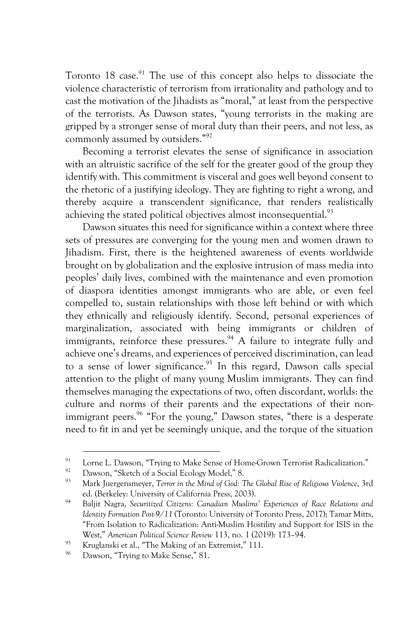Toronto 18 case.<sup>91</sup> The use of this concept also helps to dissociate the violence characteristic of terrorism from irrationality and pathology and to cast the motivation of the Jihadists as "moral," at least from the perspective of the terrorists. As Dawson states, "young terrorists in the making are gripped by a stronger sense of moral duty than their peers, and not less, as commonly assumed by outsiders."92

Becoming a terrorist elevates the sense of significance in association with an altruistic sacrifice of the self for the greater good of the group they identify with. This commitment is visceral and goes well beyond consent to the rhetoric of a justifying ideology. They are fighting to right a wrong, and thereby acquire a transcendent significance, that renders realistically achieving the stated political objectives almost inconsequential.<sup>93</sup>

Dawson situates this need for significance within a context where three sets of pressures are converging for the young men and women drawn to Jihadism. First, there is the heightened awareness of events worldwide brought on by globalization and the explosive intrusion of mass media into peoples' daily lives, combined with the maintenance and even promotion of diaspora identities amongst immigrants who are able, or even feel compelled to, sustain relationships with those left behind or with which they ethnically and religiously identify. Second, personal experiences of marginalization, associated with being immigrants or children of immigrants, reinforce these pressures.<sup>94</sup> A failure to integrate fully and achieve one's dreams, and experiences of perceived discrimination, can lead to a sense of lower significance.<sup>95</sup> In this regard, Dawson calls special attention to the plight of many young Muslim immigrants. They can find themselves managing the expectations of two, often discordant, worlds: the culture and norms of their parents and the expectations of their nonimmigrant peers.<sup>96</sup> "For the young," Dawson states, "there is a desperate need to fit in and yet be seemingly unique, and the torque of the situation

<sup>&</sup>lt;sup>91</sup> Lorne L. Dawson, "Trying to Make Sense of Home-Grown Terrorist Radicalization."

<sup>&</sup>lt;sup>92</sup> Dawson, "Sketch of a Social Ecology Model," 8.

<sup>93</sup> Mark Juergensmeyer, *Terror in the Mind of God: The Global Rise of Religious Violence*, 3rd ed. (Berkeley: University of California Press, 2003).

<sup>94</sup> Baljit Nagra, *Securitized Citizens: Canadian Muslims' Experiences of Race Relations and Identity Formation Post-9/11* (Toronto: University of Toronto Press, 2017); Tamar Mitts, "From Isolation to Radicalization: Anti-Muslim Hostility and Support for ISIS in the West," *American Political Science Review* 113, no. 1 (2019): 173–94.

<sup>&</sup>lt;sup>95</sup> Kruglanski et al., "The Making of an Extremist," 111.

Dawson, "Trying to Make Sense," 81.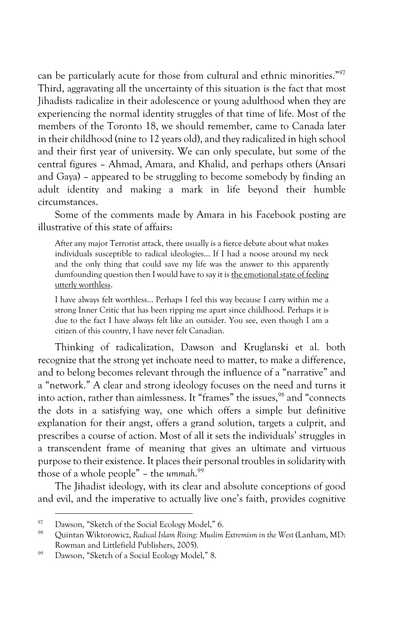can be particularly acute for those from cultural and ethnic minorities."97 Third, aggravating all the uncertainty of this situation is the fact that most Jihadists radicalize in their adolescence or young adulthood when they are experiencing the normal identity struggles of that time of life. Most of the members of the Toronto 18, we should remember, came to Canada later in their childhood (nine to 12 years old), and they radicalized in high school and their first year of university. We can only speculate, but some of the central figures – Ahmad, Amara, and Khalid, and perhaps others (Ansari and Gaya) – appeared to be struggling to become somebody by finding an adult identity and making a mark in life beyond their humble circumstances.

Some of the comments made by Amara in his Facebook posting are illustrative of this state of affairs:

After any major Terrorist attack, there usually is a fierce debate about what makes individuals susceptible to radical ideologies… If I had a noose around my neck and the only thing that could save my life was the answer to this apparently dumfounding question then I would have to say it is the emotional state of feeling utterly worthless.

I have always felt worthless… Perhaps I feel this way because I carry within me a strong Inner Critic that has been ripping me apart since childhood. Perhaps it is due to the fact I have always felt like an outsider. You see, even though I am a citizen of this country, I have never felt Canadian.

Thinking of radicalization, Dawson and Kruglanski et al. both recognize that the strong yet inchoate need to matter, to make a difference, and to belong becomes relevant through the influence of a "narrative" and a "network." A clear and strong ideology focuses on the need and turns it into action, rather than aimlessness. It "frames" the issues,<sup>98</sup> and "connects the dots in a satisfying way, one which offers a simple but definitive explanation for their angst, offers a grand solution, targets a culprit, and prescribes a course of action. Most of all it sets the individuals' struggles in a transcendent frame of meaning that gives an ultimate and virtuous purpose to their existence. It places their personal troubles in solidarity with those of a whole people" – the *ummah*. 99

The Jihadist ideology, with its clear and absolute conceptions of good and evil, and the imperative to actually live one's faith, provides cognitive

<sup>&</sup>lt;sup>97</sup> Dawson, "Sketch of the Social Ecology Model," 6.<br> $\frac{98}{1000}$  Original Wilson is the Republic Martin Martin

<sup>98</sup> Quintan Wiktorowicz, *Radical Islam Rising: Muslim Extremism in the West* (Lanham, MD: Rowman and Littlefield Publishers, 2005).

<sup>99</sup> Dawson, "Sketch of a Social Ecology Model," 8.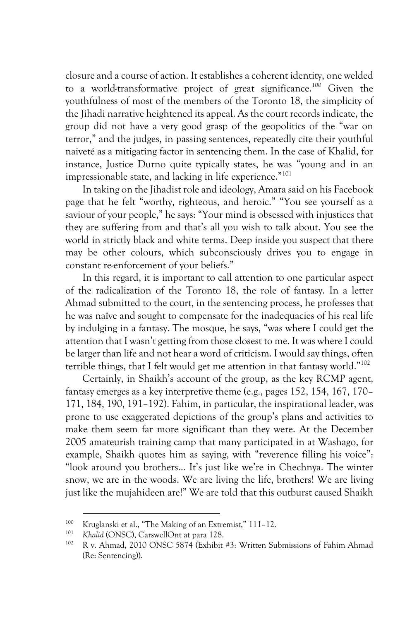closure and a course of action. It establishes a coherent identity, one welded to a world-transformative project of great significance.100 Given the youthfulness of most of the members of the Toronto 18, the simplicity of the Jihadi narrative heightened its appeal. As the court records indicate, the group did not have a very good grasp of the geopolitics of the "war on terror," and the judges, in passing sentences, repeatedly cite their youthful naiveté as a mitigating factor in sentencing them. In the case of Khalid, for instance, Justice Durno quite typically states, he was "young and in an impressionable state, and lacking in life experience."<sup>101</sup>

In taking on the Jihadist role and ideology, Amara said on his Facebook page that he felt "worthy, righteous, and heroic." "You see yourself as a saviour of your people," he says: "Your mind is obsessed with injustices that they are suffering from and that's all you wish to talk about. You see the world in strictly black and white terms. Deep inside you suspect that there may be other colours, which subconsciously drives you to engage in constant re-enforcement of your beliefs."

In this regard, it is important to call attention to one particular aspect of the radicalization of the Toronto 18, the role of fantasy. In a letter Ahmad submitted to the court, in the sentencing process, he professes that he was naïve and sought to compensate for the inadequacies of his real life by indulging in a fantasy. The mosque, he says, "was where I could get the attention that I wasn't getting from those closest to me. It was where I could be larger than life and not hear a word of criticism. I would say things, often terrible things, that I felt would get me attention in that fantasy world."102

Certainly, in Shaikh's account of the group, as the key RCMP agent, fantasy emerges as a key interpretive theme (e.g., pages 152, 154, 167, 170– 171, 184, 190, 191–192). Fahim, in particular, the inspirational leader, was prone to use exaggerated depictions of the group's plans and activities to make them seem far more significant than they were. At the December 2005 amateurish training camp that many participated in at Washago, for example, Shaikh quotes him as saying, with "reverence filling his voice": "look around you brothers… It's just like we're in Chechnya. The winter snow, we are in the woods. We are living the life, brothers! We are living just like the mujahideen are!" We are told that this outburst caused Shaikh

<sup>&</sup>lt;sup>100</sup> Kruglanski et al., "The Making of an Extremist," 111–12.

<sup>101</sup> *Khalid* (ONSC), CarswellOnt at para 128.

<sup>102</sup> R v. Ahmad, 2010 ONSC 5874 (Exhibit #3: Written Submissions of Fahim Ahmad (Re: Sentencing)).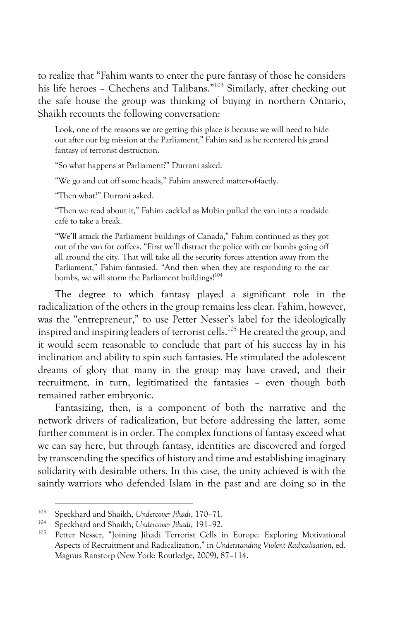to realize that "Fahim wants to enter the pure fantasy of those he considers his life heroes - Chechens and Talibans."<sup>103</sup> Similarly, after checking out the safe house the group was thinking of buying in northern Ontario, Shaikh recounts the following conversation:

Look, one of the reasons we are getting this place is because we will need to hide out after our big mission at the Parliament," Fahim said as he reentered his grand fantasy of terrorist destruction.

"So what happens at Parliament?" Durrani asked.

"We go and cut off some heads," Fahim answered matter-of-factly.

"Then what?" Durrani asked.

"Then we read about it," Fahim cackled as Mubin pulled the van into a roadside café to take a break.

"We'll attack the Parliament buildings of Canada," Fahim continued as they got out of the van for coffees. "First we'll distract the police with car bombs going off all around the city. That will take all the security forces attention away from the Parliament," Fahim fantasied. "And then when they are responding to the car bombs, we will storm the Parliament buildings!<sup>104</sup>

The degree to which fantasy played a significant role in the radicalization of the others in the group remains less clear. Fahim, however, was the "entrepreneur," to use Petter Nesser's label for the ideologically inspired and inspiring leaders of terrorist cells.<sup>105</sup> He created the group, and it would seem reasonable to conclude that part of his success lay in his inclination and ability to spin such fantasies. He stimulated the adolescent dreams of glory that many in the group may have craved, and their recruitment, in turn, legitimatized the fantasies – even though both remained rather embryonic.

Fantasizing, then, is a component of both the narrative and the network drivers of radicalization, but before addressing the latter, some further comment is in order. The complex functions of fantasy exceed what we can say here, but through fantasy, identities are discovered and forged by transcending the specifics of history and time and establishing imaginary solidarity with desirable others. In this case, the unity achieved is with the saintly warriors who defended Islam in the past and are doing so in the

<sup>103</sup> Speckhard and Shaikh, *Undercover Jihadi*, 170–71.

<sup>104</sup> Speckhard and Shaikh, *Undercover Jihadi*, 191–92.

Petter Nesser, "Joining Jihadi Terrorist Cells in Europe: Exploring Motivational Aspects of Recruitment and Radicalization," in *Understanding Violent Radicalisation*, ed. Magnus Ranstorp (New York: Routledge, 2009), 87–114.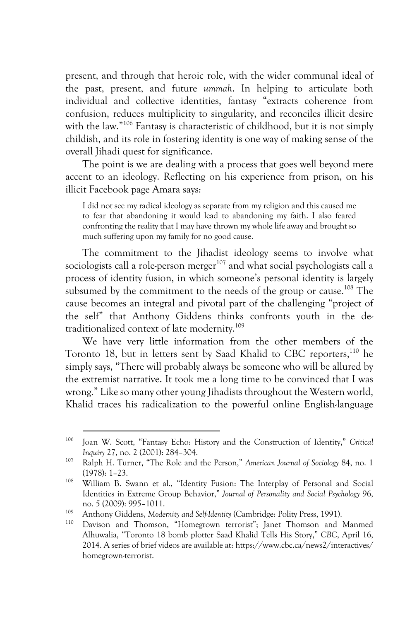present, and through that heroic role, with the wider communal ideal of the past, present, and future *ummah*. In helping to articulate both individual and collective identities, fantasy "extracts coherence from confusion, reduces multiplicity to singularity, and reconciles illicit desire with the law."<sup>106</sup> Fantasy is characteristic of childhood, but it is not simply childish, and its role in fostering identity is one way of making sense of the overall Jihadi quest for significance.

The point is we are dealing with a process that goes well beyond mere accent to an ideology. Reflecting on his experience from prison, on his illicit Facebook page Amara says:

I did not see my radical ideology as separate from my religion and this caused me to fear that abandoning it would lead to abandoning my faith. I also feared confronting the reality that I may have thrown my whole life away and brought so much suffering upon my family for no good cause.

The commitment to the Jihadist ideology seems to involve what sociologists call a role-person merger $107$  and what social psychologists call a process of identity fusion, in which someone's personal identity is largely subsumed by the commitment to the needs of the group or cause.<sup>108</sup> The cause becomes an integral and pivotal part of the challenging "project of the self" that Anthony Giddens thinks confronts youth in the detraditionalized context of late modernity.109

We have very little information from the other members of the Toronto 18, but in letters sent by Saad Khalid to CBC reporters,<sup>110</sup> he simply says, "There will probably always be someone who will be allured by the extremist narrative. It took me a long time to be convinced that I was wrong." Like so many other young Jihadists throughout the Western world, Khalid traces his radicalization to the powerful online English-language

<sup>106</sup> Joan W. Scott, "Fantasy Echo: History and the Construction of Identity," *Critical Inquiry* 27, no. 2 (2001): 284–304.

<sup>107</sup> Ralph H. Turner, "The Role and the Person," *American Journal of Sociology* 84, no. 1 (1978): 1–23.

<sup>108</sup> William B. Swann et al., "Identity Fusion: The Interplay of Personal and Social Identities in Extreme Group Behavior," *Journal of Personality and Social Psychology* 96, no. 5 (2009): 995–1011.

<sup>109</sup> Anthony Giddens, *Modernity and Self-Identity* (Cambridge: Polity Press, 1991).

<sup>110</sup> Davison and Thomson, "Homegrown terrorist"; Janet Thomson and Manmed Alhuwalia, "Toronto 18 bomb plotter Saad Khalid Tells His Story," *CBC*, April 16, 2014. A series of brief videos are available at: https://www.cbc.ca/news2/interactives/ homegrown-terrorist.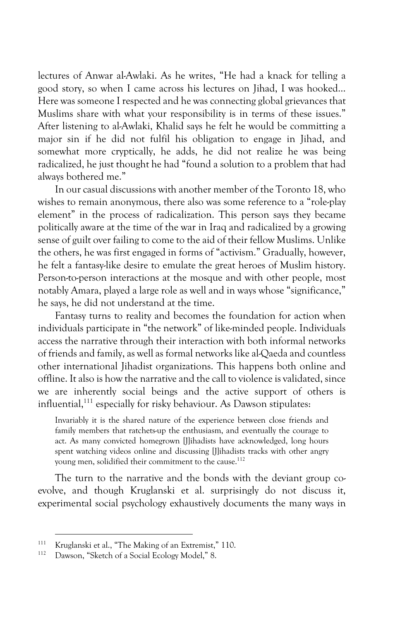lectures of Anwar al-Awlaki. As he writes, "He had a knack for telling a good story, so when I came across his lectures on Jihad, I was hooked… Here was someone I respected and he was connecting global grievances that Muslims share with what your responsibility is in terms of these issues." After listening to al-Awlaki, Khalid says he felt he would be committing a major sin if he did not fulfil his obligation to engage in Jihad, and somewhat more cryptically, he adds, he did not realize he was being radicalized, he just thought he had "found a solution to a problem that had always bothered me."

In our casual discussions with another member of the Toronto 18, who wishes to remain anonymous, there also was some reference to a "role-play element" in the process of radicalization. This person says they became politically aware at the time of the war in Iraq and radicalized by a growing sense of guilt over failing to come to the aid of their fellow Muslims. Unlike the others, he was first engaged in forms of "activism." Gradually, however, he felt a fantasy-like desire to emulate the great heroes of Muslim history. Person-to-person interactions at the mosque and with other people, most notably Amara, played a large role as well and in ways whose "significance," he says, he did not understand at the time.

Fantasy turns to reality and becomes the foundation for action when individuals participate in "the network" of like-minded people. Individuals access the narrative through their interaction with both informal networks of friends and family, as well as formal networks like al-Qaeda and countless other international Jihadist organizations. This happens both online and offline. It also is how the narrative and the call to violence is validated, since we are inherently social beings and the active support of others is influential,<sup>111</sup> especially for risky behaviour. As Dawson stipulates:

Invariably it is the shared nature of the experience between close friends and family members that ratchets-up the enthusiasm, and eventually the courage to act. As many convicted homegrown [J]ihadists have acknowledged, long hours spent watching videos online and discussing [J]ihadists tracks with other angry young men, solidified their commitment to the cause.<sup>112</sup>

The turn to the narrative and the bonds with the deviant group coevolve, and though Kruglanski et al. surprisingly do not discuss it, experimental social psychology exhaustively documents the many ways in

<sup>&</sup>lt;sup>111</sup> Kruglanski et al., "The Making of an Extremist," 110.

Dawson, "Sketch of a Social Ecology Model," 8.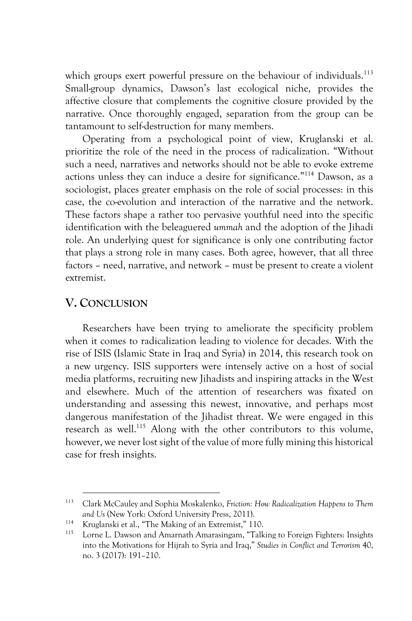which groups exert powerful pressure on the behaviour of individuals.<sup>113</sup> Small-group dynamics, Dawson's last ecological niche, provides the affective closure that complements the cognitive closure provided by the narrative. Once thoroughly engaged, separation from the group can be tantamount to self-destruction for many members.

Operating from a psychological point of view, Kruglanski et al. prioritize the role of the need in the process of radicalization. "Without such a need, narratives and networks should not be able to evoke extreme actions unless they can induce a desire for significance."114 Dawson, as a sociologist, places greater emphasis on the role of social processes: in this case, the co-evolution and interaction of the narrative and the network. These factors shape a rather too pervasive youthful need into the specific identification with the beleaguered *ummah* and the adoption of the Jihadi role. An underlying quest for significance is only one contributing factor that plays a strong role in many cases. Both agree, however, that all three factors – need, narrative, and network – must be present to create a violent extremist.

## **V. CONCLUSION**

Researchers have been trying to ameliorate the specificity problem when it comes to radicalization leading to violence for decades. With the rise of ISIS (Islamic State in Iraq and Syria) in 2014, this research took on a new urgency. ISIS supporters were intensely active on a host of social media platforms, recruiting new Jihadists and inspiring attacks in the West and elsewhere. Much of the attention of researchers was fixated on understanding and assessing this newest, innovative, and perhaps most dangerous manifestation of the Jihadist threat. We were engaged in this research as well.<sup>115</sup> Along with the other contributors to this volume, however, we never lost sight of the value of more fully mining this historical case for fresh insights.

<sup>113</sup> Clark McCauley and Sophia Moskalenko, *Friction: How Radicalization Happens to Them and Us* (New York: Oxford University Press, 2011).

<sup>&</sup>lt;sup>114</sup> Kruglanski et al., "The Making of an Extremist," 110.

Lorne L. Dawson and Amarnath Amarasingam, "Talking to Foreign Fighters: Insights into the Motivations for Hijrah to Syria and Iraq," *Studies in Conflict and Terrorism* 40, no. 3 (2017): 191–210.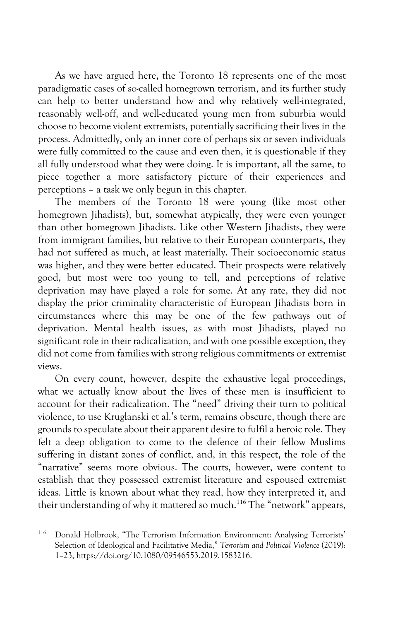As we have argued here, the Toronto 18 represents one of the most paradigmatic cases of so-called homegrown terrorism, and its further study can help to better understand how and why relatively well-integrated, reasonably well-off, and well-educated young men from suburbia would choose to become violent extremists, potentially sacrificing their lives in the process. Admittedly, only an inner core of perhaps six or seven individuals were fully committed to the cause and even then, it is questionable if they all fully understood what they were doing. It is important, all the same, to piece together a more satisfactory picture of their experiences and perceptions – a task we only begun in this chapter.

The members of the Toronto 18 were young (like most other homegrown Jihadists), but, somewhat atypically, they were even younger than other homegrown Jihadists. Like other Western Jihadists, they were from immigrant families, but relative to their European counterparts, they had not suffered as much, at least materially. Their socioeconomic status was higher, and they were better educated. Their prospects were relatively good, but most were too young to tell, and perceptions of relative deprivation may have played a role for some. At any rate, they did not display the prior criminality characteristic of European Jihadists born in circumstances where this may be one of the few pathways out of deprivation. Mental health issues, as with most Jihadists, played no significant role in their radicalization, and with one possible exception, they did not come from families with strong religious commitments or extremist views.

On every count, however, despite the exhaustive legal proceedings, what we actually know about the lives of these men is insufficient to account for their radicalization. The "need" driving their turn to political violence, to use Kruglanski et al.'s term, remains obscure, though there are grounds to speculate about their apparent desire to fulfil a heroic role. They felt a deep obligation to come to the defence of their fellow Muslims suffering in distant zones of conflict, and, in this respect, the role of the "narrative" seems more obvious. The courts, however, were content to establish that they possessed extremist literature and espoused extremist ideas. Little is known about what they read, how they interpreted it, and their understanding of why it mattered so much.<sup>116</sup> The "network" appears,

<sup>116</sup> Donald Holbrook, "The Terrorism Information Environment: Analysing Terrorists' Selection of Ideological and Facilitative Media," *Terrorism and Political Violence* (2019): 1–23, https://doi.org/10.1080/09546553.2019.1583216.